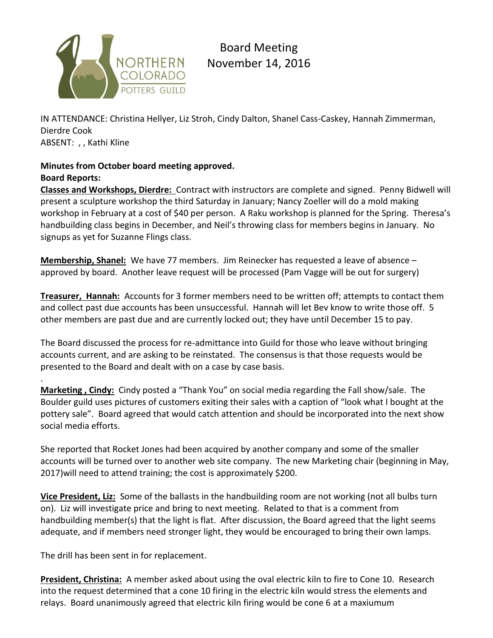

Board Meeting November 14, 2016

IN ATTENDANCE: Christina Hellyer, Liz Stroh, Cindy Dalton, Shanel Cass-Caskey, Hannah Zimmerman, Dierdre Cook ABSENT: , , Kathi Kline

# **Minutes from October board meeting approved. Board Reports:**

**Classes and Workshops, Dierdre:** Contract with instructors are complete and signed. Penny Bidwell will present a sculpture workshop the third Saturday in January; Nancy Zoeller will do a mold making workshop in February at a cost of \$40 per person. A Raku workshop is planned for the Spring. Theresa's handbuilding class begins in December, and Neil's throwing class for members begins in January. No signups as yet for Suzanne Flings class.

**Membership, Shanel:** We have 77 members. Jim Reinecker has requested a leave of absence – approved by board. Another leave request will be processed (Pam Vagge will be out for surgery)

**Treasurer, Hannah:** Accounts for 3 former members need to be written off; attempts to contact them and collect past due accounts has been unsuccessful. Hannah will let Bev know to write those off. 5 other members are past due and are currently locked out; they have until December 15 to pay.

The Board discussed the process for re-admittance into Guild for those who leave without bringing accounts current, and are asking to be reinstated. The consensus is that those requests would be presented to the Board and dealt with on a case by case basis.

**Marketing , Cindy:** Cindy posted a "Thank You" on social media regarding the Fall show/sale. The Boulder guild uses pictures of customers exiting their sales with a caption of "look what I bought at the pottery sale". Board agreed that would catch attention and should be incorporated into the next show social media efforts.

She reported that Rocket Jones had been acquired by another company and some of the smaller accounts will be turned over to another web site company. The new Marketing chair (beginning in May, 2017)will need to attend training; the cost is approximately \$200.

**Vice President, Liz:** Some of the ballasts in the handbuilding room are not working (not all bulbs turn on). Liz will investigate price and bring to next meeting. Related to that is a comment from handbuilding member(s) that the light is flat. After discussion, the Board agreed that the light seems adequate, and if members need stronger light, they would be encouraged to bring their own lamps.

The drill has been sent in for replacement.

.

**President, Christina:** A member asked about using the oval electric kiln to fire to Cone 10. Research into the request determined that a cone 10 firing in the electric kiln would stress the elements and relays. Board unanimously agreed that electric kiln firing would be cone 6 at a maxiumum